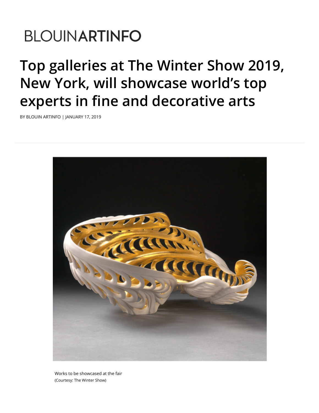## **BLOUINARTINFO**

## **Top galleries at The Winter Show 2019, New York, will showcase world's top experts in fine and decorative arts**

BY BLOUIN ARTINFO | JANUARY 17, 2019



Works to be showcased at the fair (Courtesy: The Winter Show)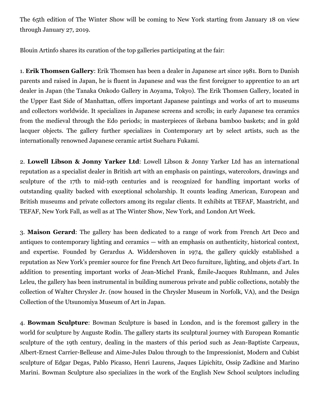The 65th edition of The Winter Show will be coming to New York starting from January 18 on view through January 27, 2019.

Blouin Artinfo shares its curation of the top galleries participating at the fair:

1. **Erik Thomsen Gallery**: Erik Thomsen has been a dealer in Japanese art since 1981. Born to Danish parents and raised in Japan, he is fluent in Japanese and was the first foreigner to apprentice to an art dealer in Japan (the Tanaka Onkodo Gallery in Aoyama, Tokyo). The Erik Thomsen Gallery, located in the Upper East Side of Manhattan, offers important Japanese paintings and works of art to museums and collectors worldwide. It specializes in Japanese screens and scrolls; in early Japanese tea ceramics from the medieval through the Edo periods; in masterpieces of ikebana bamboo baskets; and in gold lacquer objects. The gallery further specializes in Contemporary art by select artists, such as the internationally renowned Japanese ceramic artist Sueharu Fukami.

2. **Lowell Libson & Jonny Yarker Ltd**: Lowell Libson & Jonny Yarker Ltd has an international reputation as a specialist dealer in British art with an emphasis on paintings, watercolors, drawings and sculpture of the 17th to mid-19th centuries and is recognized for handling important works of outstanding quality backed with exceptional scholarship. It counts leading American, European and British museums and private collectors among its regular clients. It exhibits at TEFAF, Maastricht, and TEFAF, New York Fall, as well as at The Winter Show, New York, and London Art Week.

3. **Maison Gerard**: The gallery has been dedicated to a range of work from French Art Deco and antiques to contemporary lighting and ceramics — with an emphasis on authenticity, historical context, and expertise. Founded by Gerardus A. Widdershoven in 1974, the gallery quickly established a reputation as New York's premier source for fine French Art Deco furniture, lighting, and objets d'art. In addition to presenting important works of Jean-Michel Frank, Émile-Jacques Ruhlmann, and Jules Leleu, the gallery has been instrumental in building numerous private and public collections, notably the collection of Walter Chrysler Jr. (now housed in the Chrysler Museum in Norfolk, VA), and the Design Collection of the Utsunomiya Museum of Art in Japan.

4. **Bowman Sculpture**: Bowman Sculpture is based in London, and is the foremost gallery in the world for sculpture by Auguste Rodin. The gallery starts its sculptural journey with European Romantic sculpture of the 19th century, dealing in the masters of this period such as Jean-Baptiste Carpeaux, Albert-Ernest Carrier-Belleuse and Aime-Jules Dalou through to the Impressionist, Modern and Cubist sculpture of Edgar Degas, Pablo Picasso, Henri Laurens, Jaques Lipichitz, Ossip Zadkine and Marino Marini. Bowman Sculpture also specializes in the work of the English New School sculptors including